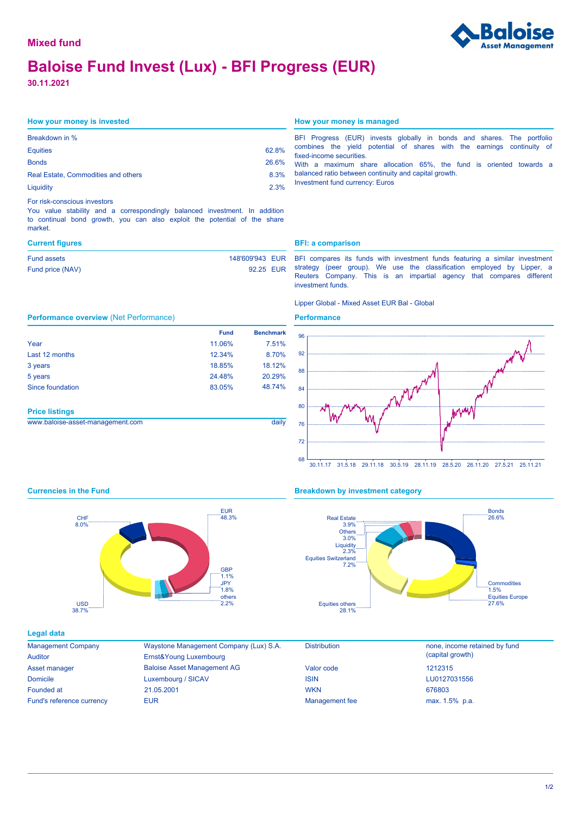# **Baloise Fund Invest (Lux) - BFI Progress (EUR)**

**30.11.2021**

| Breakdown in %                             |       |
|--------------------------------------------|-------|
| <b>Equities</b>                            | 62.8% |
| <b>Bonds</b>                               | 26.6% |
| <b>Real Estate, Commodities and others</b> | 8.3%  |
| Liquidity                                  | 2.3%  |

#### For risk-conscious investors

You value stability and a correspondingly balanced investment. In addition to continual bond growth, you can also exploit the potential of the share market.

| 148'609'943 EUR<br>Fund assets |           |
|--------------------------------|-----------|
| Fund price (NAV)               | 92.25 EUR |

### **How your money is invested How your money is managed**

BFI Progress (EUR) invests globally in bonds and shares. The portfolio combines the yield potential of shares with the earnings continuity of fixed-income securities. With a maximum share allocation 65%, the fund is oriented towards a

balanced ratio between continuity and capital growth. Investment fund currency: Euros

#### **Current figures BFI: a comparison**

BFI compares its funds with investment funds featuring a similar investment strategy (peer group). We use the classification employed by Lipper, a Reuters Company. This is an impartial agency that compares different investment funds.

### Lipper Global - Mixed Asset EUR Bal - Global

#### **Performance**



|                       | <b>Fund</b> | <b>Benchmark</b> |
|-----------------------|-------------|------------------|
| Year                  | 11.06%      | 7.51%            |
| Last 12 months        | 12.34%      | 8.70%            |
| 3 years               | 18.85%      | 18.12%           |
| 5 years               | 24.48%      | 20.29%           |
| Since foundation      | 83.05%      | 48.74%           |
|                       |             |                  |
| <b>Price listings</b> |             |                  |

| www.baloise-asset-management.com |  |
|----------------------------------|--|



### **Currencies in the Fund Breakdown by investment category**



#### **Legal data**

| <b>Management Company</b> |
|---------------------------|
| Auditor                   |
| Asset manager             |
| Domicile                  |
| Founded at                |
| Fund's reference currency |

38.7% USD

8.0% CHF

Baloise Asset Management AG Waystone Management Company (Lux) S.A. Luxembourg / SICAV Ernst&Young Luxembourg EUR **EUR** Management fee max. 1.5% p.a. 21.05.2001

EUR

 $1.1%$ **GRP** 1.8% JPY  $2.2%$ others

| DISTribution          |  |
|-----------------------|--|
| Valor code            |  |
| ISIN                  |  |
| <b>WKN</b>            |  |
| <b>Management fee</b> |  |

Distribution **none**, income retained by fund (capital growth) LU0127031556 676803 1212315